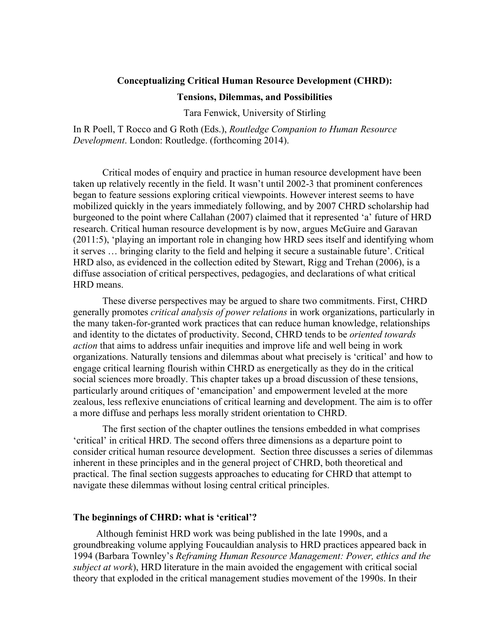## **Conceptualizing Critical Human Resource Development (CHRD):**

#### **Tensions, Dilemmas, and Possibilities**

Tara Fenwick, University of Stirling

In R Poell, T Rocco and G Roth (Eds.), *Routledge Companion to Human Resource Development*. London: Routledge. (forthcoming 2014).

Critical modes of enquiry and practice in human resource development have been taken up relatively recently in the field. It wasn't until 2002-3 that prominent conferences began to feature sessions exploring critical viewpoints. However interest seems to have mobilized quickly in the years immediately following, and by 2007 CHRD scholarship had burgeoned to the point where Callahan (2007) claimed that it represented 'a' future of HRD research. Critical human resource development is by now, argues McGuire and Garavan (2011:5), 'playing an important role in changing how HRD sees itself and identifying whom it serves … bringing clarity to the field and helping it secure a sustainable future'. Critical HRD also, as evidenced in the collection edited by Stewart, Rigg and Trehan (2006), is a diffuse association of critical perspectives, pedagogies, and declarations of what critical HRD means.

These diverse perspectives may be argued to share two commitments. First, CHRD generally promotes *critical analysis of power relations* in work organizations, particularly in the many taken-for-granted work practices that can reduce human knowledge, relationships and identity to the dictates of productivity. Second, CHRD tends to be *oriented towards action* that aims to address unfair inequities and improve life and well being in work organizations. Naturally tensions and dilemmas about what precisely is 'critical' and how to engage critical learning flourish within CHRD as energetically as they do in the critical social sciences more broadly. This chapter takes up a broad discussion of these tensions, particularly around critiques of 'emancipation' and empowerment leveled at the more zealous, less reflexive enunciations of critical learning and development. The aim is to offer a more diffuse and perhaps less morally strident orientation to CHRD.

The first section of the chapter outlines the tensions embedded in what comprises 'critical' in critical HRD. The second offers three dimensions as a departure point to consider critical human resource development. Section three discusses a series of dilemmas inherent in these principles and in the general project of CHRD, both theoretical and practical. The final section suggests approaches to educating for CHRD that attempt to navigate these dilemmas without losing central critical principles.

## **The beginnings of CHRD: what is 'critical'?**

Although feminist HRD work was being published in the late 1990s, and a groundbreaking volume applying Foucauldian analysis to HRD practices appeared back in 1994 (Barbara Townley's *Reframing Human Resource Management: Power, ethics and the subject at work*), HRD literature in the main avoided the engagement with critical social theory that exploded in the critical management studies movement of the 1990s. In their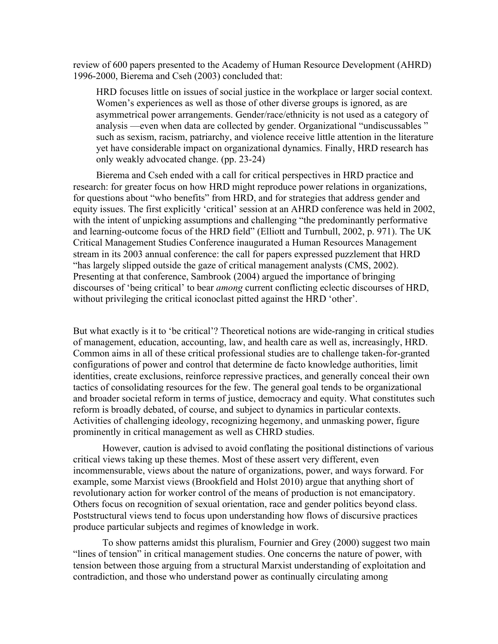review of 600 papers presented to the Academy of Human Resource Development (AHRD) 1996-2000, Bierema and Cseh (2003) concluded that:

HRD focuses little on issues of social justice in the workplace or larger social context. Women's experiences as well as those of other diverse groups is ignored, as are asymmetrical power arrangements. Gender/race/ethnicity is not used as a category of analysis —even when data are collected by gender. Organizational "undiscussables " such as sexism, racism, patriarchy, and violence receive little attention in the literature yet have considerable impact on organizational dynamics. Finally, HRD research has only weakly advocated change. (pp. 23-24)

Bierema and Cseh ended with a call for critical perspectives in HRD practice and research: for greater focus on how HRD might reproduce power relations in organizations, for questions about "who benefits" from HRD, and for strategies that address gender and equity issues. The first explicitly 'critical' session at an AHRD conference was held in 2002, with the intent of unpicking assumptions and challenging "the predominantly performative and learning-outcome focus of the HRD field" (Elliott and Turnbull, 2002, p. 971). The UK Critical Management Studies Conference inaugurated a Human Resources Management stream in its 2003 annual conference: the call for papers expressed puzzlement that HRD "has largely slipped outside the gaze of critical management analysts (CMS, 2002). Presenting at that conference, Sambrook (2004) argued the importance of bringing discourses of 'being critical' to bear *among* current conflicting eclectic discourses of HRD, without privileging the critical iconoclast pitted against the HRD 'other'.

But what exactly is it to 'be critical'? Theoretical notions are wide-ranging in critical studies of management, education, accounting, law, and health care as well as, increasingly, HRD. Common aims in all of these critical professional studies are to challenge taken-for-granted configurations of power and control that determine de facto knowledge authorities, limit identities, create exclusions, reinforce repressive practices, and generally conceal their own tactics of consolidating resources for the few. The general goal tends to be organizational and broader societal reform in terms of justice, democracy and equity. What constitutes such reform is broadly debated, of course, and subject to dynamics in particular contexts. Activities of challenging ideology, recognizing hegemony, and unmasking power, figure prominently in critical management as well as CHRD studies.

However, caution is advised to avoid conflating the positional distinctions of various critical views taking up these themes. Most of these assert very different, even incommensurable, views about the nature of organizations, power, and ways forward. For example, some Marxist views (Brookfield and Holst 2010) argue that anything short of revolutionary action for worker control of the means of production is not emancipatory. Others focus on recognition of sexual orientation, race and gender politics beyond class. Poststructural views tend to focus upon understanding how flows of discursive practices produce particular subjects and regimes of knowledge in work.

To show patterns amidst this pluralism, Fournier and Grey (2000) suggest two main "lines of tension" in critical management studies. One concerns the nature of power, with tension between those arguing from a structural Marxist understanding of exploitation and contradiction, and those who understand power as continually circulating among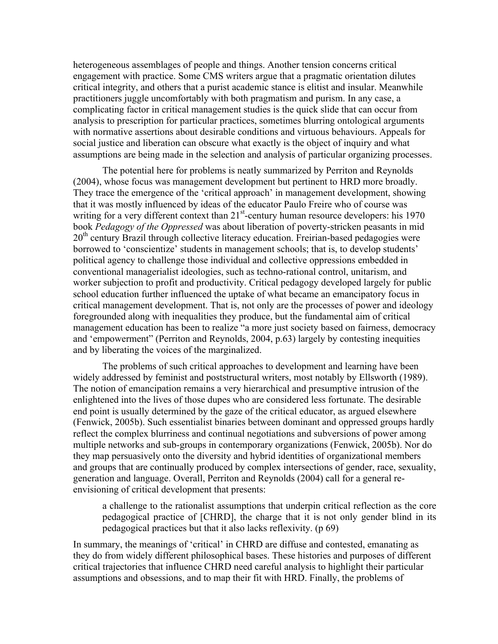heterogeneous assemblages of people and things. Another tension concerns critical engagement with practice. Some CMS writers argue that a pragmatic orientation dilutes critical integrity, and others that a purist academic stance is elitist and insular. Meanwhile practitioners juggle uncomfortably with both pragmatism and purism. In any case, a complicating factor in critical management studies is the quick slide that can occur from analysis to prescription for particular practices, sometimes blurring ontological arguments with normative assertions about desirable conditions and virtuous behaviours. Appeals for social justice and liberation can obscure what exactly is the object of inquiry and what assumptions are being made in the selection and analysis of particular organizing processes.

The potential here for problems is neatly summarized by Perriton and Reynolds (2004), whose focus was management development but pertinent to HRD more broadly. They trace the emergence of the 'critical approach' in management development, showing that it was mostly influenced by ideas of the educator Paulo Freire who of course was writing for a very different context than  $21^{st}$ -century human resource developers: his 1970 book *Pedagogy of the Oppressed* was about liberation of poverty-stricken peasants in mid  $20<sup>th</sup>$  century Brazil through collective literacy education. Freirian-based pedagogies were borrowed to 'conscientize' students in management schools; that is, to develop students' political agency to challenge those individual and collective oppressions embedded in conventional managerialist ideologies, such as techno-rational control, unitarism, and worker subjection to profit and productivity. Critical pedagogy developed largely for public school education further influenced the uptake of what became an emancipatory focus in critical management development. That is, not only are the processes of power and ideology foregrounded along with inequalities they produce, but the fundamental aim of critical management education has been to realize "a more just society based on fairness, democracy and 'empowerment" (Perriton and Reynolds, 2004, p.63) largely by contesting inequities and by liberating the voices of the marginalized.

The problems of such critical approaches to development and learning have been widely addressed by feminist and poststructural writers, most notably by Ellsworth (1989). The notion of emancipation remains a very hierarchical and presumptive intrusion of the enlightened into the lives of those dupes who are considered less fortunate. The desirable end point is usually determined by the gaze of the critical educator, as argued elsewhere (Fenwick, 2005b). Such essentialist binaries between dominant and oppressed groups hardly reflect the complex blurriness and continual negotiations and subversions of power among multiple networks and sub-groups in contemporary organizations (Fenwick, 2005b). Nor do they map persuasively onto the diversity and hybrid identities of organizational members and groups that are continually produced by complex intersections of gender, race, sexuality, generation and language. Overall, Perriton and Reynolds (2004) call for a general reenvisioning of critical development that presents:

a challenge to the rationalist assumptions that underpin critical reflection as the core pedagogical practice of [CHRD], the charge that it is not only gender blind in its pedagogical practices but that it also lacks reflexivity. (p 69)

In summary, the meanings of 'critical' in CHRD are diffuse and contested, emanating as they do from widely different philosophical bases. These histories and purposes of different critical trajectories that influence CHRD need careful analysis to highlight their particular assumptions and obsessions, and to map their fit with HRD. Finally, the problems of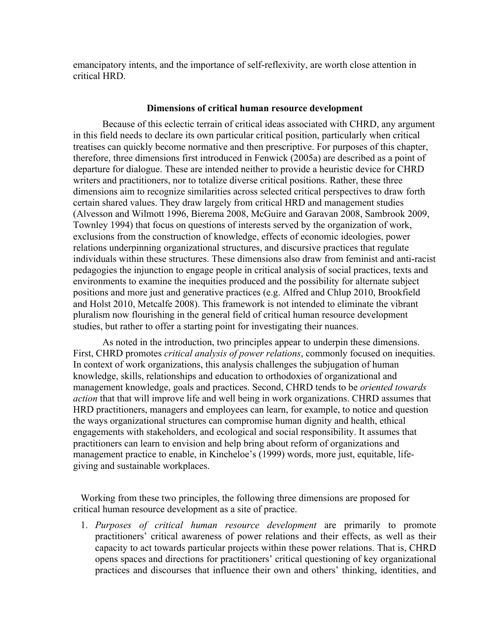emancipatory intents, and the importance of self-reflexivity, are worth close attention in critical HRD.

## **Dimensions of critical human resource development**

Because of this eclectic terrain of critical ideas associated with CHRD, any argument in this field needs to declare its own particular critical position, particularly when critical treatises can quickly become normative and then prescriptive. For purposes of this chapter, therefore, three dimensions first introduced in Fenwick (2005a) are described as a point of departure for dialogue. These are intended neither to provide a heuristic device for CHRD writers and practitioners, nor to totalize diverse critical positions. Rather, these three dimensions aim to recognize similarities across selected critical perspectives to draw forth certain shared values. They draw largely from critical HRD and management studies (Alvesson and Wilmott 1996, Bierema 2008, McGuire and Garavan 2008, Sambrook 2009, Townley 1994) that focus on questions of interests served by the organization of work, exclusions from the construction of knowledge, effects of economic ideologies, power relations underpinning organizational structures, and discursive practices that regulate individuals within these structures. These dimensions also draw from feminist and anti-racist pedagogies the injunction to engage people in critical analysis of social practices, texts and environments to examine the inequities produced and the possibility for alternate subject positions and more just and generative practices (e.g. Alfred and Chlup 2010, Brookfield and Holst 2010, Metcalfe 2008). This framework is not intended to eliminate the vibrant pluralism now flourishing in the general field of critical human resource development studies, but rather to offer a starting point for investigating their nuances.

As noted in the introduction, two principles appear to underpin these dimensions. First, CHRD promotes *critical analysis of power relations*, commonly focused on inequities. In context of work organizations, this analysis challenges the subjugation of human knowledge, skills, relationships and education to orthodoxies of organizational and management knowledge, goals and practices. Second, CHRD tends to be *oriented towards action* that that will improve life and well being in work organizations. CHRD assumes that HRD practitioners, managers and employees can learn, for example, to notice and question the ways organizational structures can compromise human dignity and health, ethical engagements with stakeholders, and ecological and social responsibility. It assumes that practitioners can learn to envision and help bring about reform of organizations and management practice to enable, in Kincheloe's (1999) words, more just, equitable, lifegiving and sustainable workplaces.

Working from these two principles, the following three dimensions are proposed for critical human resource development as a site of practice.

1. *Purposes of critical human resource development* are primarily to promote practitioners' critical awareness of power relations and their effects, as well as their capacity to act towards particular projects within these power relations. That is, CHRD opens spaces and directions for practitioners' critical questioning of key organizational practices and discourses that influence their own and others' thinking, identities, and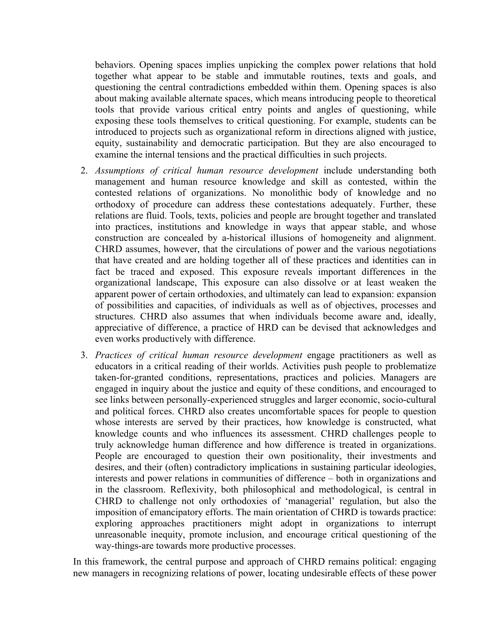behaviors. Opening spaces implies unpicking the complex power relations that hold together what appear to be stable and immutable routines, texts and goals, and questioning the central contradictions embedded within them. Opening spaces is also about making available alternate spaces, which means introducing people to theoretical tools that provide various critical entry points and angles of questioning, while exposing these tools themselves to critical questioning. For example, students can be introduced to projects such as organizational reform in directions aligned with justice, equity, sustainability and democratic participation. But they are also encouraged to examine the internal tensions and the practical difficulties in such projects.

- 2. *Assumptions of critical human resource development* include understanding both management and human resource knowledge and skill as contested, within the contested relations of organizations. No monolithic body of knowledge and no orthodoxy of procedure can address these contestations adequately. Further, these relations are fluid. Tools, texts, policies and people are brought together and translated into practices, institutions and knowledge in ways that appear stable, and whose construction are concealed by a-historical illusions of homogeneity and alignment. CHRD assumes, however, that the circulations of power and the various negotiations that have created and are holding together all of these practices and identities can in fact be traced and exposed. This exposure reveals important differences in the organizational landscape, This exposure can also dissolve or at least weaken the apparent power of certain orthodoxies, and ultimately can lead to expansion: expansion of possibilities and capacities, of individuals as well as of objectives, processes and structures. CHRD also assumes that when individuals become aware and, ideally, appreciative of difference, a practice of HRD can be devised that acknowledges and even works productively with difference.
- 3. *Practices of critical human resource development* engage practitioners as well as educators in a critical reading of their worlds. Activities push people to problematize taken-for-granted conditions, representations, practices and policies. Managers are engaged in inquiry about the justice and equity of these conditions, and encouraged to see links between personally-experienced struggles and larger economic, socio-cultural and political forces. CHRD also creates uncomfortable spaces for people to question whose interests are served by their practices, how knowledge is constructed, what knowledge counts and who influences its assessment. CHRD challenges people to truly acknowledge human difference and how difference is treated in organizations. People are encouraged to question their own positionality, their investments and desires, and their (often) contradictory implications in sustaining particular ideologies, interests and power relations in communities of difference – both in organizations and in the classroom. Reflexivity, both philosophical and methodological, is central in CHRD to challenge not only orthodoxies of 'managerial' regulation, but also the imposition of emancipatory efforts. The main orientation of CHRD is towards practice: exploring approaches practitioners might adopt in organizations to interrupt unreasonable inequity, promote inclusion, and encourage critical questioning of the way-things-are towards more productive processes.

In this framework, the central purpose and approach of CHRD remains political: engaging new managers in recognizing relations of power, locating undesirable effects of these power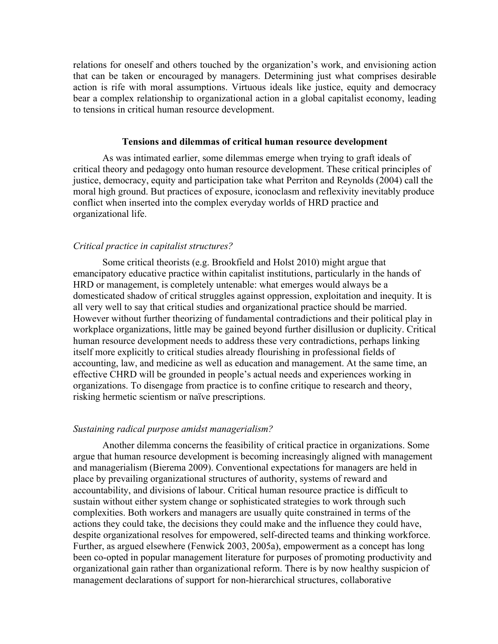relations for oneself and others touched by the organization's work, and envisioning action that can be taken or encouraged by managers. Determining just what comprises desirable action is rife with moral assumptions. Virtuous ideals like justice, equity and democracy bear a complex relationship to organizational action in a global capitalist economy, leading to tensions in critical human resource development.

#### **Tensions and dilemmas of critical human resource development**

As was intimated earlier, some dilemmas emerge when trying to graft ideals of critical theory and pedagogy onto human resource development. These critical principles of justice, democracy, equity and participation take what Perriton and Reynolds (2004) call the moral high ground. But practices of exposure, iconoclasm and reflexivity inevitably produce conflict when inserted into the complex everyday worlds of HRD practice and organizational life.

# *Critical practice in capitalist structures?*

Some critical theorists (e.g. Brookfield and Holst 2010) might argue that emancipatory educative practice within capitalist institutions, particularly in the hands of HRD or management, is completely untenable: what emerges would always be a domesticated shadow of critical struggles against oppression, exploitation and inequity. It is all very well to say that critical studies and organizational practice should be married. However without further theorizing of fundamental contradictions and their political play in workplace organizations, little may be gained beyond further disillusion or duplicity. Critical human resource development needs to address these very contradictions, perhaps linking itself more explicitly to critical studies already flourishing in professional fields of accounting, law, and medicine as well as education and management. At the same time, an effective CHRD will be grounded in people's actual needs and experiences working in organizations. To disengage from practice is to confine critique to research and theory, risking hermetic scientism or naïve prescriptions.

#### *Sustaining radical purpose amidst managerialism?*

Another dilemma concerns the feasibility of critical practice in organizations. Some argue that human resource development is becoming increasingly aligned with management and managerialism (Bierema 2009). Conventional expectations for managers are held in place by prevailing organizational structures of authority, systems of reward and accountability, and divisions of labour. Critical human resource practice is difficult to sustain without either system change or sophisticated strategies to work through such complexities. Both workers and managers are usually quite constrained in terms of the actions they could take, the decisions they could make and the influence they could have, despite organizational resolves for empowered, self-directed teams and thinking workforce. Further, as argued elsewhere (Fenwick 2003, 2005a), empowerment as a concept has long been co-opted in popular management literature for purposes of promoting productivity and organizational gain rather than organizational reform. There is by now healthy suspicion of management declarations of support for non-hierarchical structures, collaborative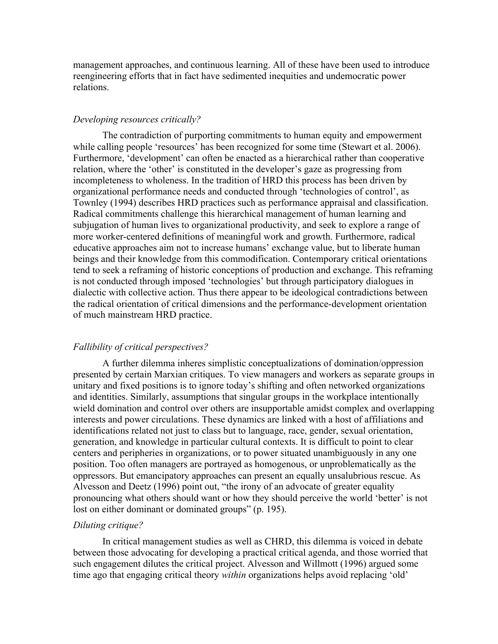management approaches, and continuous learning. All of these have been used to introduce reengineering efforts that in fact have sedimented inequities and undemocratic power relations.

## *Developing resources critically?*

The contradiction of purporting commitments to human equity and empowerment while calling people 'resources' has been recognized for some time (Stewart et al. 2006). Furthermore, 'development' can often be enacted as a hierarchical rather than cooperative relation, where the 'other' is constituted in the developer's gaze as progressing from incompleteness to wholeness. In the tradition of HRD this process has been driven by organizational performance needs and conducted through 'technologies of control', as Townley (1994) describes HRD practices such as performance appraisal and classification. Radical commitments challenge this hierarchical management of human learning and subjugation of human lives to organizational productivity, and seek to explore a range of more worker-centered definitions of meaningful work and growth. Furthermore, radical educative approaches aim not to increase humans' exchange value, but to liberate human beings and their knowledge from this commodification. Contemporary critical orientations tend to seek a reframing of historic conceptions of production and exchange. This reframing is not conducted through imposed 'technologies' but through participatory dialogues in dialectic with collective action. Thus there appear to be ideological contradictions between the radical orientation of critical dimensions and the performance-development orientation of much mainstream HRD practice.

## *Fallibility of critical perspectives?*

A further dilemma inheres simplistic conceptualizations of domination/oppression presented by certain Marxian critiques. To view managers and workers as separate groups in unitary and fixed positions is to ignore today's shifting and often networked organizations and identities. Similarly, assumptions that singular groups in the workplace intentionally wield domination and control over others are insupportable amidst complex and overlapping interests and power circulations. These dynamics are linked with a host of affiliations and identifications related not just to class but to language, race, gender, sexual orientation, generation, and knowledge in particular cultural contexts. It is difficult to point to clear centers and peripheries in organizations, or to power situated unambiguously in any one position. Too often managers are portrayed as homogenous, or unproblematically as the oppressors. But emancipatory approaches can present an equally unsalubrious rescue. As Alvesson and Deetz (1996) point out, "the irony of an advocate of greater equality pronouncing what others should want or how they should perceive the world 'better' is not lost on either dominant or dominated groups" (p. 195).

## *Diluting critique?*

In critical management studies as well as CHRD, this dilemma is voiced in debate between those advocating for developing a practical critical agenda, and those worried that such engagement dilutes the critical project. Alvesson and Willmott (1996) argued some time ago that engaging critical theory *within* organizations helps avoid replacing 'old'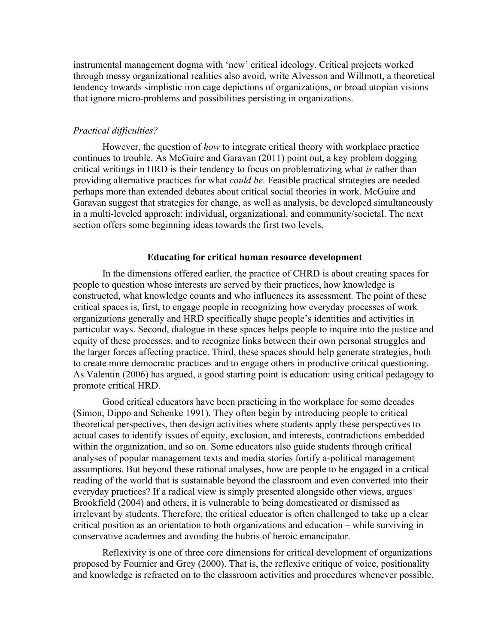instrumental management dogma with 'new' critical ideology. Critical projects worked through messy organizational realities also avoid, write Alvesson and Willmott, a theoretical tendency towards simplistic iron cage depictions of organizations, or broad utopian visions that ignore micro-problems and possibilities persisting in organizations.

# *Practical difficulties?*

However, the question of *how* to integrate critical theory with workplace practice continues to trouble. As McGuire and Garavan (2011) point out, a key problem dogging critical writings in HRD is their tendency to focus on problematizing what *is* rather than providing alternative practices for what *could be*. Feasible practical strategies are needed perhaps more than extended debates about critical social theories in work. McGuire and Garavan suggest that strategies for change, as well as analysis, be developed simultaneously in a multi-leveled approach: individual, organizational, and community/societal. The next section offers some beginning ideas towards the first two levels.

## **Educating for critical human resource development**

In the dimensions offered earlier, the practice of CHRD is about creating spaces for people to question whose interests are served by their practices, how knowledge is constructed, what knowledge counts and who influences its assessment. The point of these critical spaces is, first, to engage people in recognizing how everyday processes of work organizations generally and HRD specifically shape people's identities and activities in particular ways. Second, dialogue in these spaces helps people to inquire into the justice and equity of these processes, and to recognize links between their own personal struggles and the larger forces affecting practice. Third, these spaces should help generate strategies, both to create more democratic practices and to engage others in productive critical questioning. As Valentin (2006) has argued, a good starting point is education: using critical pedagogy to promote critical HRD.

Good critical educators have been practicing in the workplace for some decades (Simon, Dippo and Schenke 1991). They often begin by introducing people to critical theoretical perspectives, then design activities where students apply these perspectives to actual cases to identify issues of equity, exclusion, and interests, contradictions embedded within the organization, and so on. Some educators also guide students through critical analyses of popular management texts and media stories fortify a-political management assumptions. But beyond these rational analyses, how are people to be engaged in a critical reading of the world that is sustainable beyond the classroom and even converted into their everyday practices? If a radical view is simply presented alongside other views, argues Brookfield (2004) and others, it is vulnerable to being domesticated or dismissed as irrelevant by students. Therefore, the critical educator is often challenged to take up a clear critical position as an orientation to both organizations and education – while surviving in conservative academies and avoiding the hubris of heroic emancipator.

Reflexivity is one of three core dimensions for critical development of organizations proposed by Fournier and Grey (2000). That is, the reflexive critique of voice, positionality and knowledge is refracted on to the classroom activities and procedures whenever possible.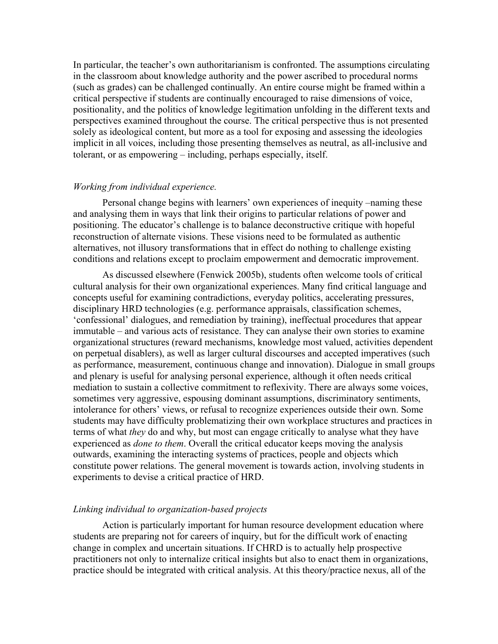In particular, the teacher's own authoritarianism is confronted. The assumptions circulating in the classroom about knowledge authority and the power ascribed to procedural norms (such as grades) can be challenged continually. An entire course might be framed within a critical perspective if students are continually encouraged to raise dimensions of voice, positionality, and the politics of knowledge legitimation unfolding in the different texts and perspectives examined throughout the course. The critical perspective thus is not presented solely as ideological content, but more as a tool for exposing and assessing the ideologies implicit in all voices, including those presenting themselves as neutral, as all-inclusive and tolerant, or as empowering – including, perhaps especially, itself.

#### *Working from individual experience.*

Personal change begins with learners' own experiences of inequity –naming these and analysing them in ways that link their origins to particular relations of power and positioning. The educator's challenge is to balance deconstructive critique with hopeful reconstruction of alternate visions. These visions need to be formulated as authentic alternatives, not illusory transformations that in effect do nothing to challenge existing conditions and relations except to proclaim empowerment and democratic improvement.

As discussed elsewhere (Fenwick 2005b), students often welcome tools of critical cultural analysis for their own organizational experiences. Many find critical language and concepts useful for examining contradictions, everyday politics, accelerating pressures, disciplinary HRD technologies (e.g. performance appraisals, classification schemes, 'confessional' dialogues, and remediation by training), ineffectual procedures that appear immutable – and various acts of resistance. They can analyse their own stories to examine organizational structures (reward mechanisms, knowledge most valued, activities dependent on perpetual disablers), as well as larger cultural discourses and accepted imperatives (such as performance, measurement, continuous change and innovation). Dialogue in small groups and plenary is useful for analysing personal experience, although it often needs critical mediation to sustain a collective commitment to reflexivity. There are always some voices, sometimes very aggressive, espousing dominant assumptions, discriminatory sentiments, intolerance for others' views, or refusal to recognize experiences outside their own. Some students may have difficulty problematizing their own workplace structures and practices in terms of what *they* do and why, but most can engage critically to analyse what they have experienced as *done to them*. Overall the critical educator keeps moving the analysis outwards, examining the interacting systems of practices, people and objects which constitute power relations. The general movement is towards action, involving students in experiments to devise a critical practice of HRD.

# *Linking individual to organization-based projects*

Action is particularly important for human resource development education where students are preparing not for careers of inquiry, but for the difficult work of enacting change in complex and uncertain situations. If CHRD is to actually help prospective practitioners not only to internalize critical insights but also to enact them in organizations, practice should be integrated with critical analysis. At this theory/practice nexus, all of the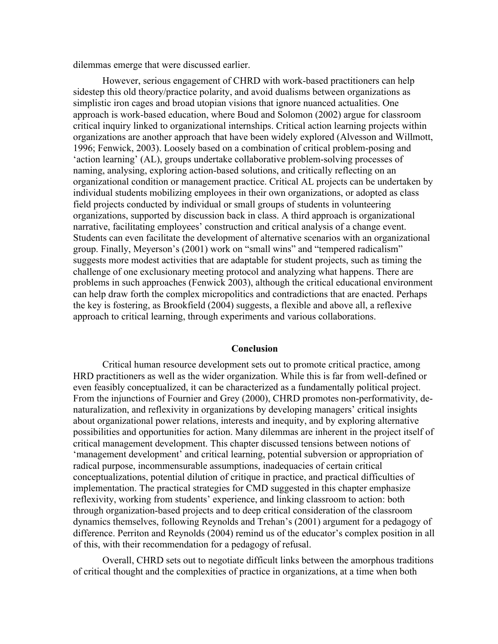dilemmas emerge that were discussed earlier.

However, serious engagement of CHRD with work-based practitioners can help sidestep this old theory/practice polarity, and avoid dualisms between organizations as simplistic iron cages and broad utopian visions that ignore nuanced actualities. One approach is work-based education, where Boud and Solomon (2002) argue for classroom critical inquiry linked to organizational internships. Critical action learning projects within organizations are another approach that have been widely explored (Alvesson and Willmott, 1996; Fenwick, 2003). Loosely based on a combination of critical problem-posing and 'action learning' (AL), groups undertake collaborative problem-solving processes of naming, analysing, exploring action-based solutions, and critically reflecting on an organizational condition or management practice. Critical AL projects can be undertaken by individual students mobilizing employees in their own organizations, or adopted as class field projects conducted by individual or small groups of students in volunteering organizations, supported by discussion back in class. A third approach is organizational narrative, facilitating employees' construction and critical analysis of a change event. Students can even facilitate the development of alternative scenarios with an organizational group. Finally, Meyerson's (2001) work on "small wins" and "tempered radicalism" suggests more modest activities that are adaptable for student projects, such as timing the challenge of one exclusionary meeting protocol and analyzing what happens. There are problems in such approaches (Fenwick 2003), although the critical educational environment can help draw forth the complex micropolitics and contradictions that are enacted. Perhaps the key is fostering, as Brookfield (2004) suggests, a flexible and above all, a reflexive approach to critical learning, through experiments and various collaborations.

## **Conclusion**

Critical human resource development sets out to promote critical practice, among HRD practitioners as well as the wider organization. While this is far from well-defined or even feasibly conceptualized, it can be characterized as a fundamentally political project. From the injunctions of Fournier and Grey (2000), CHRD promotes non-performativity, denaturalization, and reflexivity in organizations by developing managers' critical insights about organizational power relations, interests and inequity, and by exploring alternative possibilities and opportunities for action. Many dilemmas are inherent in the project itself of critical management development. This chapter discussed tensions between notions of 'management development' and critical learning, potential subversion or appropriation of radical purpose, incommensurable assumptions, inadequacies of certain critical conceptualizations, potential dilution of critique in practice, and practical difficulties of implementation. The practical strategies for CMD suggested in this chapter emphasize reflexivity, working from students' experience, and linking classroom to action: both through organization-based projects and to deep critical consideration of the classroom dynamics themselves, following Reynolds and Trehan's (2001) argument for a pedagogy of difference. Perriton and Reynolds (2004) remind us of the educator's complex position in all of this, with their recommendation for a pedagogy of refusal.

Overall, CHRD sets out to negotiate difficult links between the amorphous traditions of critical thought and the complexities of practice in organizations, at a time when both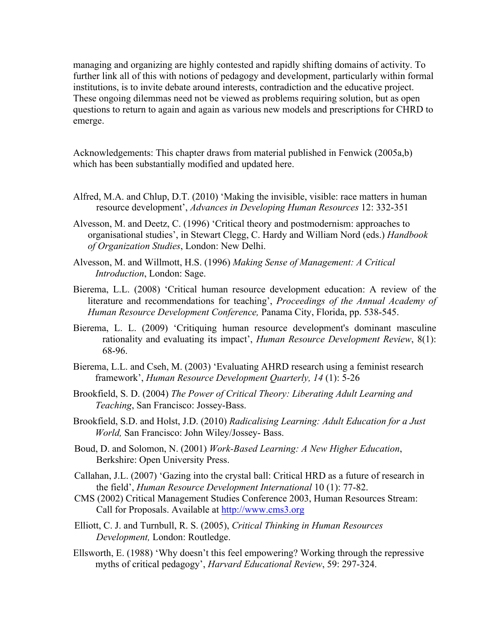managing and organizing are highly contested and rapidly shifting domains of activity. To further link all of this with notions of pedagogy and development, particularly within formal institutions, is to invite debate around interests, contradiction and the educative project. These ongoing dilemmas need not be viewed as problems requiring solution, but as open questions to return to again and again as various new models and prescriptions for CHRD to emerge.

Acknowledgements: This chapter draws from material published in Fenwick (2005a,b) which has been substantially modified and updated here.

- Alfred, M.A. and Chlup, D.T. (2010) 'Making the invisible, visible: race matters in human resource development', *Advances in Developing Human Resources* 12: 332-351
- Alvesson, M. and Deetz, C. (1996) 'Critical theory and postmodernism: approaches to organisational studies', in Stewart Clegg, C. Hardy and William Nord (eds.) *Handbook of Organization Studies*, London: New Delhi.
- Alvesson, M. and Willmott, H.S. (1996) *Making Sense of Management: A Critical Introduction*, London: Sage.
- Bierema, L.L. (2008) 'Critical human resource development education: A review of the literature and recommendations for teaching', *Proceedings of the Annual Academy of Human Resource Development Conference,* Panama City, Florida, pp. 538-545.
- Bierema, L. L. (2009) 'Critiquing human resource development's dominant masculine rationality and evaluating its impact', *Human Resource Development Review*, 8(1): 68-96.
- Bierema, L.L. and Cseh, M. (2003) 'Evaluating AHRD research using a feminist research framework', *Human Resource Development Quarterly, 14* (1): 5-26
- Brookfield, S. D. (2004) *The Power of Critical Theory: Liberating Adult Learning and Teaching*, San Francisco: Jossey-Bass.
- Brookfield, S.D. and Holst, J.D. (2010) *Radicalising Learning: Adult Education for a Just World,* San Francisco: John Wiley/Jossey- Bass.
- Boud, D. and Solomon, N. (2001) *Work-Based Learning: A New Higher Education*, Berkshire: Open University Press.
- Callahan, J.L. (2007) 'Gazing into the crystal ball: Critical HRD as a future of research in the field', *Human Resource Development International* 10 (1): 77-82.
- CMS (2002) Critical Management Studies Conference 2003, Human Resources Stream: Call for Proposals. Available at http://www.cms3.org
- Elliott, C. J. and Turnbull, R. S. (2005), *Critical Thinking in Human Resources Development,* London: Routledge.
- Ellsworth, E. (1988) 'Why doesn't this feel empowering? Working through the repressive myths of critical pedagogy', *Harvard Educational Review*, 59: 297-324.